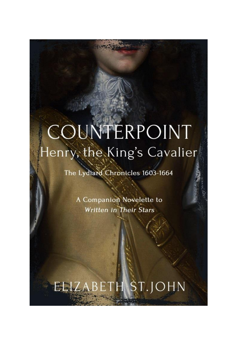# COUNTERPOINT Henry, the King's Cavalier

The Lydiard Chronicles 1603-1664

A Companion Novelette to **Written in Their Stars** 

# ELIZABETH ST.JOHN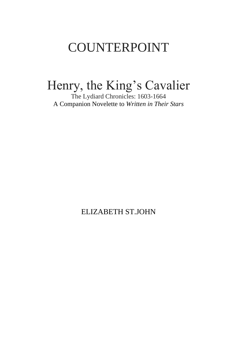## COUNTERPOINT

## Henry, the King's Cavalier

The Lydiard Chronicles: 1603-1664 A Companion Novelette to *Written in Their Stars*

ELIZABETH ST.JOHN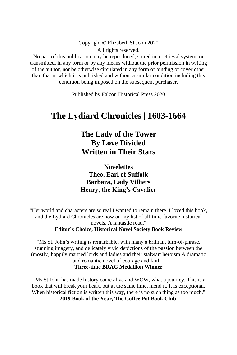Copyright © Elizabeth St.John 2020 All rights reserved.

No part of this publication may be reproduced, stored in a retrieval system, or transmitted, in any form or by any means without the prior permission in writing of the author, nor be otherwise circulated in any form of binding or cover other than that in which it is published and without a similar condition including this condition being imposed on the subsequent purchaser.

Published by Falcon Historical Press 2020

#### **The Lydiard Chronicles | 1603-1664**

#### **The Lady of the Tower By Love Divided Written in Their Stars**

**Novelettes Theo, Earl of Suffolk Barbara, Lady Villiers Henry, the King's Cavalier**

"Her world and characters are so real I wanted to remain there. I loved this book, and the Lydiard Chronicles are now on my list of all-time favorite historical novels. A fantastic read." **Editor's Choice, Historical Novel Society Book Review**

"Ms St. John's writing is remarkable, with many a brilliant turn-of-phrase, stunning imagery, and delicately vivid depictions of the passion between the (mostly) happily married lords and ladies and their stalwart heroism A dramatic and romantic novel of courage and faith." **Three-time BRAG Medallion Winner**

" Ms St.John has made history come alive and WOW, what a journey. This is a book that will break your heart, but at the same time, mend it. It is exceptional. When historical fiction is written this way, there is no such thing as too much." **2019 Book of the Year, The Coffee Pot Book Club**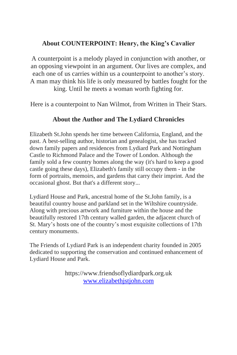#### **About COUNTERPOINT: Henry, the King's Cavalier**

A counterpoint is a melody played in conjunction with another, or an opposing viewpoint in an argument. Our lives are complex, and each one of us carries within us a counterpoint to another's story. A man may think his life is only measured by battles fought for the king. Until he meets a woman worth fighting for.

Here is a counterpoint to Nan Wilmot, from Written in Their Stars.

#### **About the Author and The Lydiard Chronicles**

Elizabeth St.John spends her time between California, England, and the past. A best-selling author, historian and genealogist, she has tracked down family papers and residences from Lydiard Park and Nottingham Castle to Richmond Palace and the Tower of London. Although the family sold a few country homes along the way (it's hard to keep a good castle going these days), Elizabeth's family still occupy them - in the form of portraits, memoirs, and gardens that carry their imprint. And the occasional ghost. But that's a different story...

Lydiard House and Park, ancestral home of the St.John family, is a beautiful country house and parkland set in the Wiltshire countryside. Along with precious artwork and furniture within the house and the beautifully restored 17th century walled garden, the adjacent church of St. Mary's hosts one of the country's most exquisite collections of 17th century monuments.

The Friends of Lydiard Park is an independent charity founded in 2005 dedicated to supporting the conservation and continued enhancement of Lydiard House and Park.

> [https://www.friendsoflydiardpark.org.uk](https://www.friendsoflydiardpark.org.uk/) [www.elizabethjstjohn.com](http://www.elizabethjstjohn.com/)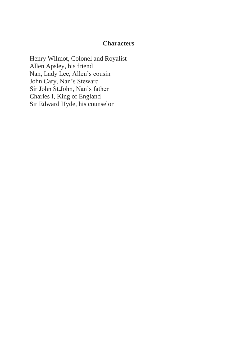#### **Characters**

Henry Wilmot, Colonel and Royalist Allen Apsley, his friend Nan, Lady Lee, Allen's cousin John Cary, Nan's Steward Sir John St.John, Nan's father Charles I, King of England Sir Edward Hyde, his counselor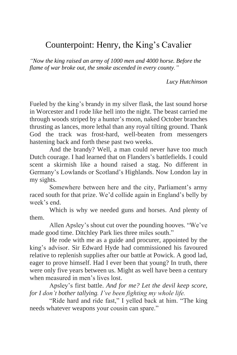#### Counterpoint: Henry, the King's Cavalier

*"Now the king raised an army of 1000 men and 4000 horse. Before the flame of war broke out, the smoke ascended in every county."*

*Lucy Hutchinson*

Fueled by the king's brandy in my silver flask, the last sound horse in Worcester and I rode like hell into the night. The beast carried me through woods striped by a hunter's moon, naked October branches thrusting as lances, more lethal than any royal tilting ground. Thank God the track was frost-hard, well-beaten from messengers hastening back and forth these past two weeks.

And the brandy? Well, a man could never have too much Dutch courage. I had learned that on Flanders's battlefields. I could scent a skirmish like a hound raised a stag. No different in Germany's Lowlands or Scotland's Highlands. Now London lay in my sights.

Somewhere between here and the city, Parliament's army raced south for that prize. We'd collide again in England's belly by week's end.

Which is why we needed guns and horses. And plenty of them.

Allen Apsley's shout cut over the pounding hooves. "We've made good time. Ditchley Park lies three miles south."

He rode with me as a guide and procurer, appointed by the king's advisor. Sir Edward Hyde had commissioned his favoured relative to replenish supplies after our battle at Powick. A good lad, eager to prove himself. Had I ever been that young? In truth, there were only five years between us. Might as well have been a century when measured in men's lives lost.

Apsley's first battle. *And for me? Let the devil keep score, for I don't bother tallying. I've been fighting my whole life.*

"Ride hard and ride fast," I yelled back at him. "The king needs whatever weapons your cousin can spare."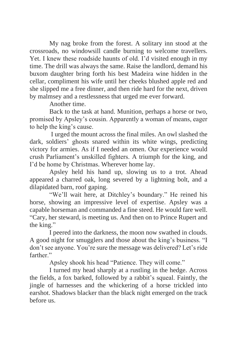My nag broke from the forest. A solitary inn stood at the crossroads, no windowsill candle burning to welcome travellers. Yet. I knew these roadside haunts of old. I'd visited enough in my time. The drill was always the same. Raise the landlord, demand his buxom daughter bring forth his best Madeira wine hidden in the cellar, compliment his wife until her cheeks blushed apple red and she slipped me a free dinner, and then ride hard for the next, driven by malmsey and a restlessness that urged me ever forward.

Another time.

Back to the task at hand. Munition, perhaps a horse or two, promised by Apsley's cousin. Apparently a woman of means, eager to help the king's cause.

I urged the mount across the final miles. An owl slashed the dark, soldiers' ghosts snared within its white wings, predicting victory for armies. As if I needed an omen. Our experience would crush Parliament's unskilled fighters. A triumph for the king, and I'd be home by Christmas. Wherever home lay.

Apsley held his hand up, slowing us to a trot. Ahead appeared a charred oak, long severed by a lightning bolt, and a dilapidated barn, roof gaping.

"We'll wait here, at Ditchley's boundary." He reined his horse, showing an impressive level of expertise. Apsley was a capable horseman and commanded a fine steed. He would fare well. "Cary, her steward, is meeting us. And then on to Prince Rupert and the king."

I peered into the darkness, the moon now swathed in clouds. A good night for smugglers and those about the king's business. "I don't see anyone. You're sure the message was delivered? Let's ride farther"

Apsley shook his head "Patience. They will come."

I turned my head sharply at a rustling in the hedge. Across the fields, a fox barked, followed by a rabbit's squeal. Faintly, the jingle of harnesses and the whickering of a horse trickled into earshot. Shadows blacker than the black night emerged on the track before us.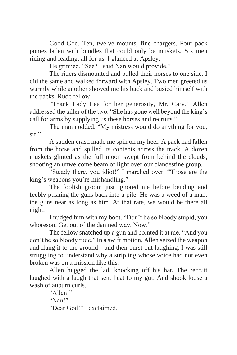Good God. Ten, twelve mounts, fine chargers. Four pack ponies laden with bundles that could only be muskets. Six men riding and leading, all for us. I glanced at Apsley.

He grinned. "See? I said Nan would provide."

The riders dismounted and pulled their horses to one side. I did the same and walked forward with Apsley. Two men greeted us warmly while another showed me his back and busied himself with the packs. Rude fellow.

"Thank Lady Lee for her generosity, Mr. Cary," Allen addressed the taller of the two. "She has gone well beyond the king's call for arms by supplying us these horses and recruits."

The man nodded. "My mistress would do anything for you, sir."

A sudden crash made me spin on my heel. A pack had fallen from the horse and spilled its contents across the track. A dozen muskets glinted as the full moon swept from behind the clouds, shooting an unwelcome beam of light over our clandestine group.

"Steady there, you idiot!" I marched over. "Those are the king's weapons you're mishandling."

The foolish groom just ignored me before bending and feebly pushing the guns back into a pile. He was a weed of a man, the guns near as long as him. At that rate, we would be there all night.

I nudged him with my boot. "Don't be so bloody stupid, you whoreson. Get out of the damned way. Now."

The fellow snatched up a gun and pointed it at me. "And you don't be so bloody rude." In a swift motion, Allen seized the weapon and flung it to the ground—and then burst out laughing. I was still struggling to understand why a stripling whose voice had not even broken was on a mission like this.

Allen hugged the lad, knocking off his hat. The recruit laughed with a laugh that sent heat to my gut. And shook loose a wash of auburn curls.

"Allen!" "Nan!" "Dear God!" I exclaimed.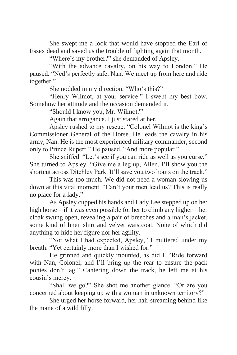She swept me a look that would have stopped the Earl of Essex dead and saved us the trouble of fighting again that month.

"Where's my brother?" she demanded of Apsley.

"With the advance cavalry, on his way to London." He paused. "Ned's perfectly safe, Nan. We meet up from here and ride together."

She nodded in my direction. "Who's this?"

"Henry Wilmot, at your service." I swept my best bow. Somehow her attitude and the occasion demanded it.

"Should I know you, Mr. Wilmot?"

Again that arrogance. I just stared at her.

Apsley rushed to my rescue. "Colonel Wilmot is the king's Commissioner General of the Horse. He leads the cavalry in his army, Nan. He is the most experienced military commander, second only to Prince Rupert." He paused. "And more popular."

She sniffed. "Let's see if you can ride as well as you curse." She turned to Apsley. "Give me a leg up, Allen. I'll show you the shortcut across Ditchley Park. It'll save you two hours on the track."

This was too much. We did not need a woman slowing us down at this vital moment. "Can't your men lead us? This is really no place for a lady."

As Apsley cupped his hands and Lady Lee stepped up on her high horse—if it was even possible for her to climb any higher—her cloak swung open, revealing a pair of breeches and a man's jacket, some kind of linen shirt and velvet waistcoat. None of which did anything to hide her figure nor her agility.

"Not what I had expected, Apsley," I muttered under my breath. "Yet certainly more than I wished for."

He grinned and quickly mounted, as did I. "Ride forward with Nan, Colonel, and I'll bring up the rear to ensure the pack ponies don't lag." Cantering down the track, he left me at his cousin's mercy.

"Shall we go?" She shot me another glance. "Or are you concerned about keeping up with a woman in unknown territory?"

She urged her horse forward, her hair streaming behind like the mane of a wild filly.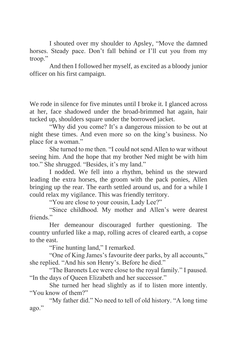I shouted over my shoulder to Apsley, "Move the damned horses. Steady pace. Don't fall behind or I'll cut you from my troop."

And then I followed her myself, as excited as a bloody junior officer on his first campaign.

We rode in silence for five minutes until I broke it. I glanced across at her, face shadowed under the broad-brimmed hat again, hair tucked up, shoulders square under the borrowed jacket.

"Why did you come? It's a dangerous mission to be out at night these times. And even more so on the king's business. No place for a woman."

She turned to me then. "I could not send Allen to war without seeing him. And the hope that my brother Ned might be with him too." She shrugged. "Besides, it's my land."

I nodded. We fell into a rhythm, behind us the steward leading the extra horses, the groom with the pack ponies, Allen bringing up the rear. The earth settled around us, and for a while I could relax my vigilance. This was friendly territory.

"You are close to your cousin, Lady Lee?"

"Since childhood. My mother and Allen's were dearest friends."

Her demeanour discouraged further questioning. The country unfurled like a map, rolling acres of cleared earth, a copse to the east.

"Fine hunting land," I remarked.

"One of King James's favourite deer parks, by all accounts," she replied. "And his son Henry's. Before he died."

"The Baronets Lee were close to the royal family." I paused. "In the days of Queen Elizabeth and her successor."

She turned her head slightly as if to listen more intently. "You know of them?"

"My father did." No need to tell of old history. "A long time ago."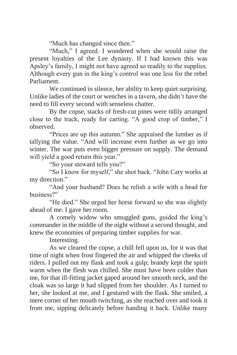"Much has changed since then."

"Much," I agreed. I wondered when she would raise the present loyalties of the Lee dynasty. If I had known this was Apsley's family, I might not have agreed so readily to the supplies. Although every gun in the king's control was one less for the rebel Parliament.

We continued in silence, her ability to keep quiet surprising. Unlike ladies of the court or wenches in a tavern, she didn't have the need to fill every second with senseless chatter.

By the copse, stacks of fresh-cut pines were tidily arranged close to the track, ready for carting. "A good crop of timber," I observed.

"Prices are up this autumn." She appraised the lumber as if tallying the value. "And will increase even further as we go into winter. The war puts even bigger pressure on supply. The demand will yield a good return this year."

"So your steward tells you?"

"So I know for myself," she shot back. "John Cary works at my direction."

"And your husband? Does he relish a wife with a head for business?"

"He died." She urged her horse forward so she was slightly ahead of me. I gave her room.

A comely widow who smuggled guns, guided the king's commander in the middle of the night without a second thought, and knew the economies of preparing timber supplies for war.

Interesting.

As we cleared the copse, a chill fell upon us, for it was that time of night when frost fingered the air and whipped the cheeks of riders. I pulled out my flask and took a gulp; brandy kept the spirit warm when the flesh was chilled. She must have been colder than me, for that ill-fitting jacket gaped around her smooth neck, and the cloak was so large it had slipped from her shoulder. As I turned to her, she looked at me, and I gestured with the flask. She smiled, a mere corner of her mouth twitching, as she reached over and took it from me, sipping delicately before handing it back. Unlike many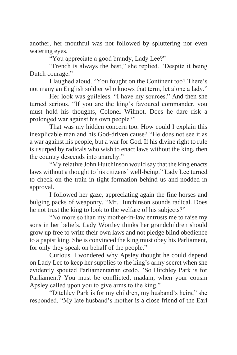another, her mouthful was not followed by spluttering nor even watering eyes.

"You appreciate a good brandy, Lady Lee?"

"French is always the best," she replied. "Despite it being Dutch courage."

I laughed aloud. "You fought on the Continent too? There's not many an English soldier who knows that term, let alone a lady."

Her look was guileless. "I have my sources." And then she turned serious. "If you are the king's favoured commander, you must hold his thoughts, Colonel Wilmot. Does he dare risk a prolonged war against his own people?"

That was my hidden concern too. How could I explain this inexplicable man and his God-driven cause? "He does not see it as a war against his people, but a war for God. If his divine right to rule is usurped by radicals who wish to enact laws without the king, then the country descends into anarchy."

"My relative John Hutchinson would say that the king enacts laws without a thought to his citizens' well-being." Lady Lee turned to check on the train in tight formation behind us and nodded in approval.

I followed her gaze, appreciating again the fine horses and bulging packs of weaponry. "Mr. Hutchinson sounds radical. Does he not trust the king to look to the welfare of his subjects?"

"No more so than my mother-in-law entrusts me to raise my sons in her beliefs. Lady Wortley thinks her grandchildren should grow up free to write their own laws and not pledge blind obedience to a papist king. She is convinced the king must obey his Parliament, for only they speak on behalf of the people."

Curious. I wondered why Apsley thought he could depend on Lady Lee to keep her supplies to the king's army secret when she evidently spouted Parliamentarian credo. "So Ditchley Park is for Parliament? You must be conflicted, madam, when your cousin Apsley called upon you to give arms to the king."

"Ditchley Park is for my children, my husband's heirs," she responded. "My late husband's mother is a close friend of the Earl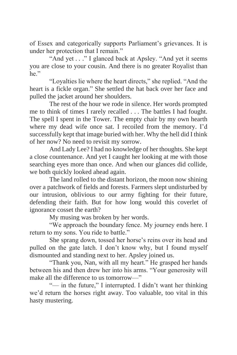of Essex and categorically supports Parliament's grievances. It is under her protection that I remain."

"And yet . . ." I glanced back at Apsley. "And yet it seems you are close to your cousin. And there is no greater Royalist than he."

"Loyalties lie where the heart directs," she replied. "And the heart is a fickle organ." She settled the hat back over her face and pulled the jacket around her shoulders.

The rest of the hour we rode in silence. Her words prompted me to think of times I rarely recalled . . . The battles I had fought. The spell I spent in the Tower. The empty chair by my own hearth where my dead wife once sat. I recoiled from the memory. I'd successfully kept that image buried with her. Why the hell did I think of her now? No need to revisit my sorrow.

And Lady Lee? I had no knowledge of her thoughts. She kept a close countenance. And yet I caught her looking at me with those searching eyes more than once. And when our glances did collide, we both quickly looked ahead again.

The land rolled to the distant horizon, the moon now shining over a patchwork of fields and forests. Farmers slept undisturbed by our intrusion, oblivious to our army fighting for their future, defending their faith. But for how long would this coverlet of ignorance cosset the earth?

My musing was broken by her words.

"We approach the boundary fence. My journey ends here. I return to my sons. You ride to battle."

She sprang down, tossed her horse's reins over its head and pulled on the gate latch. I don't know why, but I found myself dismounted and standing next to her. Apsley joined us.

"Thank you, Nan, with all my heart." He grasped her hands between his and then drew her into his arms. "Your generosity will make all the difference to us tomorrow—"

"— in the future," I interrupted. I didn't want her thinking we'd return the horses right away. Too valuable, too vital in this hasty mustering.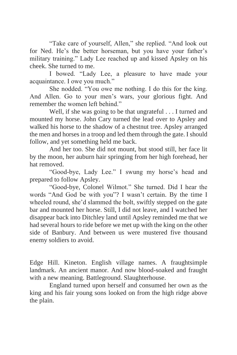"Take care of yourself, Allen," she replied. "And look out for Ned. He's the better horseman, but you have your father's military training." Lady Lee reached up and kissed Apsley on his cheek. She turned to me.

I bowed. "Lady Lee, a pleasure to have made your acquaintance. I owe you much."

She nodded. "You owe me nothing. I do this for the king. And Allen. Go to your men's wars, your glorious fight. And remember the women left behind."

Well, if she was going to be that ungrateful . . . I turned and mounted my horse. John Cary turned the lead over to Apsley and walked his horse to the shadow of a chestnut tree. Apsley arranged the men and horses in a troop and led them through the gate. I should follow, and yet something held me back.

And her too. She did not mount, but stood still, her face lit by the moon, her auburn hair springing from her high forehead, her hat removed.

"Good-bye, Lady Lee." I swung my horse's head and prepared to follow Apsley.

"Good-bye, Colonel Wilmot." She turned. Did I hear the words "And God be with you"? I wasn't certain. By the time I wheeled round, she'd slammed the bolt, swiftly stepped on the gate bar and mounted her horse. Still, I did not leave, and I watched her disappear back into Ditchley land until Apsley reminded me that we had several hours to ride before we met up with the king on the other side of Banbury. And between us were mustered five thousand enemy soldiers to avoid.

Edge Hill. Kineton. English village names. A fraughtsimple landmark. An ancient manor. And now blood-soaked and fraught with a new meaning. Battleground. Slaughterhouse.

England turned upon herself and consumed her own as the king and his fair young sons looked on from the high ridge above the plain.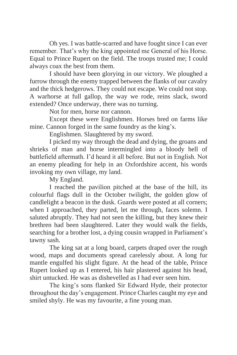Oh yes. I was battle-scarred and have fought since I can ever remember. That's why the king appointed me General of his Horse. Equal to Prince Rupert on the field. The troops trusted me; I could always coax the best from them.

I should have been glorying in our victory. We ploughed a furrow through the enemy trapped between the flanks of our cavalry and the thick hedgerows. They could not escape. We could not stop. A warhorse at full gallop, the way we rode, reins slack, sword extended? Once underway, there was no turning.

Not for men, horse nor cannon.

Except these were Englishmen. Horses bred on farms like mine. Cannon forged in the same foundry as the king's.

Englishmen. Slaughtered by my sword.

I picked my way through the dead and dying, the groans and shrieks of man and horse intermingled into a bloody hell of battlefield aftermath. I'd heard it all before. But not in English. Not an enemy pleading for help in an Oxfordshire accent, his words invoking my own village, my land.

My England.

I reached the pavilion pitched at the base of the hill, its colourful flags dull in the October twilight, the golden glow of candlelight a beacon in the dusk. Guards were posted at all corners; when I approached, they parted, let me through, faces solemn. I saluted abruptly. They had not seen the killing, but they knew their brethren had been slaughtered. Later they would walk the fields, searching for a brother lost, a dying cousin wrapped in Parliament's tawny sash.

The king sat at a long board, carpets draped over the rough wood, maps and documents spread carelessly about. A long fur mantle engulfed his slight figure. At the head of the table, Prince Rupert looked up as I entered, his hair plastered against his head, shirt untucked. He was as dishevelled as I had ever seen him.

The king's sons flanked Sir Edward Hyde, their protector throughout the day's engagement. Prince Charles caught my eye and smiled shyly. He was my favourite, a fine young man.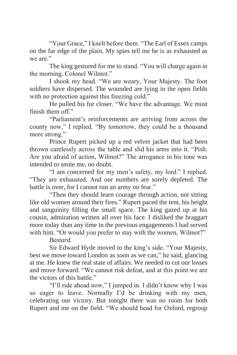"Your Grace," I knelt before them. "The Earl of Essex camps on the far edge of the plain. My spies tell me he is as exhausted as we are."

The king gestured for me to stand. "You will charge again in the morning, Colonel Wilmot."

I shook my head. "We are weary, Your Majesty. The foot soldiers have dispersed. The wounded are lying in the open fields with no protection against this freezing cold."

He pulled his fur closer. "We have the advantage. We must finish them off."

"Parliament's reinforcements are arriving from across the county now," I replied. "By tomorrow, they could be a thousand more strong."

Prince Rupert picked up a red velvet jacket that had been thrown carelessly across the table and slid his arms into it. "Pish. Are you afraid of action, Wilmot?" The arrogance in his tone was intended to smite me, no doubt.

"I am concerned for my men's safety, my lord." I replied. "They are exhausted. And our numbers are sorely depleted. The battle is over, for I cannot run an army on fear."

"Then they should learn courage through action, not sitting like old women around their fires." Rupert paced the tent, his height and sanguinity filling the small space. The king gazed up at his cousin, admiration written all over his face. I disliked the braggart more today than any time in the previous engagements I had served with him. "Or would you prefer to stay with the women, Wilmot?"

*Bastard.*

Sir Edward Hyde moved to the king's side. "Your Majesty, best we move toward London as soon as we can," he said, glancing at me. He knew the real state of affairs. We needed to cut our losses and move forward. "We cannot risk defeat, and at this point we are the victors of this battle."

"I'll ride ahead now," I jumped in. I didn't know why I was so eager to leave. Normally I'd be drinking with my men, celebrating our victory. But tonight there was no room for both Rupert and me on the field. "We should head for Oxford, regroup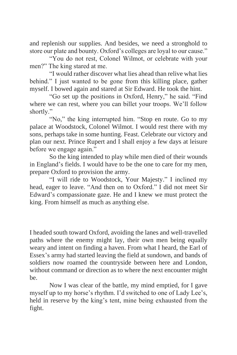and replenish our supplies. And besides, we need a stronghold to store our plate and bounty. Oxford's colleges are loyal to our cause."

"You do not rest, Colonel Wilmot, or celebrate with your men?" The king stared at me.

"I would rather discover what lies ahead than relive what lies behind." I just wanted to be gone from this killing place, gather myself. I bowed again and stared at Sir Edward. He took the hint.

"Go set up the positions in Oxford, Henry," he said. "Find where we can rest, where you can billet your troops. We'll follow shortly."

"No," the king interrupted him. "Stop en route. Go to my palace at Woodstock, Colonel Wilmot. I would rest there with my sons, perhaps take in some hunting. Feast. Celebrate our victory and plan our next. Prince Rupert and I shall enjoy a few days at leisure before we engage again."

So the king intended to play while men died of their wounds in England's fields. I would have to be the one to care for my men, prepare Oxford to provision the army.

"I will ride to Woodstock, Your Majesty." I inclined my head, eager to leave. "And then on to Oxford." I did not meet Sir Edward's compassionate gaze. He and I knew we must protect the king. From himself as much as anything else.

I headed south toward Oxford, avoiding the lanes and well-travelled paths where the enemy might lay, their own men being equally weary and intent on finding a haven. From what I heard, the Earl of Essex's army had started leaving the field at sundown, and bands of soldiers now roamed the countryside between here and London, without command or direction as to where the next encounter might be.

Now I was clear of the battle, my mind emptied, for I gave myself up to my horse's rhythm. I'd switched to one of Lady Lee's, held in reserve by the king's tent, mine being exhausted from the fight.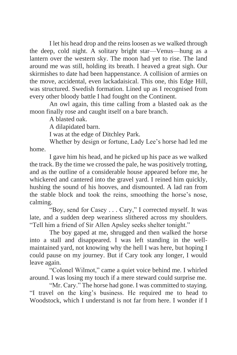I let his head drop and the reins loosen as we walked through the deep, cold night. A solitary bright star—Venus—hung as a lantern over the western sky. The moon had yet to rise. The land around me was still, holding its breath. I heaved a great sigh. Our skirmishes to date had been happenstance. A collision of armies on the move, accidental, even lackadaisical. This one, this Edge Hill, was structured. Swedish formation. Lined up as I recognised from every other bloody battle I had fought on the Continent.

An owl again, this time calling from a blasted oak as the moon finally rose and caught itself on a bare branch.

A blasted oak.

A dilapidated barn.

I was at the edge of Ditchley Park.

Whether by design or fortune, Lady Lee's horse had led me home.

I gave him his head, and he picked up his pace as we walked the track. By the time we crossed the pale, he was positively trotting, and as the outline of a considerable house appeared before me, he whickered and cantered into the gravel yard. I reined him quickly, hushing the sound of his hooves, and dismounted. A lad ran from the stable block and took the reins, smoothing the horse's nose, calming.

"Boy, send for Casey . . . Cary," I corrected myself. It was late, and a sudden deep weariness slithered across my shoulders. "Tell him a friend of Sir Allen Apsley seeks shelter tonight."

The boy gaped at me, shrugged and then walked the horse into a stall and disappeared. I was left standing in the wellmaintained yard, not knowing why the hell I was here, but hoping I could pause on my journey. But if Cary took any longer, I would leave again.

"Colonel Wilmot," came a quiet voice behind me. I whirled around. I was losing my touch if a mere steward could surprise me.

"Mr. Cary." The horse had gone. I was committed to staying. "I travel on the king's business. He required me to head to Woodstock, which I understand is not far from here. I wonder if I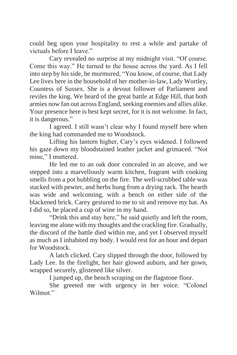could beg upon your hospitality to rest a while and partake of victuals before I leave."

Cary revealed no surprise at my midnight visit. "Of course. Come this way." He turned to the house across the yard. As I fell into step by his side, he murmured, "You know, of course, that Lady Lee lives here in the household of her mother-in-law, Lady Wortley, Countess of Sussex. She is a devout follower of Parliament and reviles the king. We heard of the great battle at Edge Hill, that both armies now fan out across England, seeking enemies and allies alike. Your presence here is best kept secret, for it is not welcome. In fact, it is dangerous."

I agreed. I still wasn't clear why I found myself here when the king had commanded me to Woodstock.

Lifting his lantern higher, Cary's eyes widened. I followed his gaze down my bloodstained leather jacket and grimaced. "Not mine," I muttered.

He led me to an oak door concealed in an alcove, and we stepped into a marvellously warm kitchen, fragrant with cooking smells from a pot bubbling on the fire. The well-scrubbed table was stacked with pewter, and herbs hung from a drying rack. The hearth was wide and welcoming, with a bench on either side of the blackened brick. Carey gestured to me to sit and remove my hat. As I did so, he placed a cup of wine in my hand.

"Drink this and stay here," he said quietly and left the room, leaving me alone with my thoughts and the crackling fire. Gradually, the discord of the battle died within me, and yet I observed myself as much as I inhabited my body. I would rest for an hour and depart for Woodstock.

A latch clicked. Cary slipped through the door, followed by Lady Lee. In the firelight, her hair glowed auburn, and her gown, wrapped securely, glistened like silver.

I jumped up, the bench scraping on the flagstone floor.

She greeted me with urgency in her voice. "Colonel Wilmot."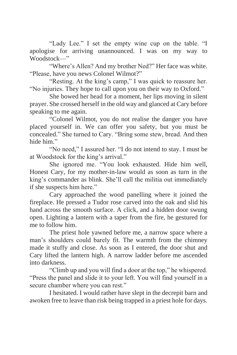"Lady Lee." I set the empty wine cup on the table. "I apologise for arriving unannounced. I was on my way to Woodstock—"

"Where's Allen? And my brother Ned?" Her face was white. "Please, have you news Colonel Wilmot?"

"Resting. At the king's camp," I was quick to reassure her. "No injuries. They hope to call upon you on their way to Oxford."

She bowed her head for a moment, her lips moving in silent prayer. She crossed herself in the old way and glanced at Cary before speaking to me again.

"Colonel Wilmot, you do not realise the danger you have placed yourself in. We can offer you safety, but you must be concealed." She turned to Cary. "Bring some stew, bread. And then hide him."

"No need," I assured her. "I do not intend to stay. I must be at Woodstock for the king's arrival."

She ignored me. "You look exhausted. Hide him well, Honest Cary, for my mother-in-law would as soon as turn in the king's commander as blink. She'll call the militia out immediately if she suspects him here."

Cary approached the wood panelling where it joined the fireplace. He pressed a Tudor rose carved into the oak and slid his hand across the smooth surface. A click, and a hidden door swung open. Lighting a lantern with a taper from the fire, he gestured for me to follow him.

The priest hole yawned before me, a narrow space where a man's shoulders could barely fit. The warmth from the chimney made it stuffy and close. As soon as I entered, the door shut and Cary lifted the lantern high. A narrow ladder before me ascended into darkness.

"Climb up and you will find a door at the top," he whispered. "Press the panel and slide it to your left. You will find yourself in a secure chamber where you can rest."

I hesitated. I would rather have slept in the decrepit barn and awoken free to leave than risk being trapped in a priest hole for days.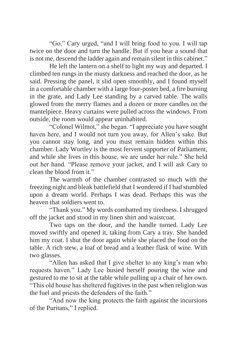"Go," Cary urged, "and I will bring food to you. I will tap twice on the door and turn the handle. But if you hear a sound that is not me, descend the ladder again and remain silent in this cabinet."

He left the lantern on a shelf to light my way and departed. I climbed ten rungs in the musty darkness and reached the door, as he said. Pressing the panel, it slid open smoothly, and I found myself in a comfortable chamber with a large four-poster bed, a fire burning in the grate, and Lady Lee standing by a carved table. The walls glowed from the merry flames and a dozen or more candles on the mantelpiece. Heavy curtains were pulled across the windows. From outside, the room would appear uninhabited.

"Colonel Wilmot," she began. "I appreciate you have sought haven here, and I would not turn you away, for Allen's sake. But you cannot stay long, and you must remain hidden within this chamber. Lady Wortley is the most fervent supporter of Parliament, and while she lives in this house, we are under her rule." She held out her hand. "Please remove your jacket, and I will ask Cary to clean the blood from it."

The warmth of the chamber contrasted so much with the freezing night and bleak battlefield that I wondered if I had stumbled upon a dream world. Perhaps I was dead. Perhaps this was the heaven that soldiers went to.

"Thank you." My words combatted my tiredness. I shrugged off the jacket and stood in my linen shirt and waistcoat.

Two taps on the door, and the handle turned. Lady Lee moved swiftly and opened it, taking from Cary a tray. She handed him my coat. I shut the door again while she placed the food on the table. A rich stew, a loaf of bread and a leather flask of wine. With two glasses.

"Allen has asked that I give shelter to any king's man who requests haven." Lady Lee busied herself pouring the wine and gestured to me to sit at the table while pulling up a chair of her own. "This old house has sheltered fugitives in the past when religion was the fuel and priests the defenders of the faith."

"And now the king protects the faith against the incursions of the Puritans," I replied.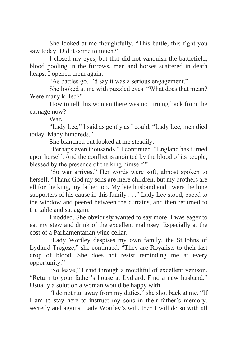She looked at me thoughtfully. "This battle, this fight you saw today. Did it come to much?"

I closed my eyes, but that did not vanquish the battlefield, blood pooling in the furrows, men and horses scattered in death heaps. I opened them again.

"As battles go, I'd say it was a serious engagement."

She looked at me with puzzled eyes. "What does that mean? Were many killed?"

How to tell this woman there was no turning back from the carnage now?

War.

"Lady Lee," I said as gently as I could, "Lady Lee, men died today. Many hundreds."

She blanched but looked at me steadily.

"Perhaps even thousands," I continued. "England has turned upon herself. And the conflict is anointed by the blood of its people, blessed by the presence of the king himself."

"So war arrives." Her words were soft, almost spoken to herself. "Thank God my sons are mere children, but my brothers are all for the king, my father too. My late husband and I were the lone supporters of his cause in this family . . ." Lady Lee stood, paced to the window and peered between the curtains, and then returned to the table and sat again.

I nodded. She obviously wanted to say more. I was eager to eat my stew and drink of the excellent malmsey. Especially at the cost of a Parliamentarian wine cellar.

"Lady Wortley despises my own family, the St.Johns of Lydiard Tregoze," she continued. "They are Royalists to their last drop of blood. She does not resist reminding me at every opportunity."

"So leave," I said through a mouthful of excellent venison. "Return to your father's house at Lydiard. Find a new husband." Usually a solution a woman would be happy with.

"I do not run away from my duties," she shot back at me. "If I am to stay here to instruct my sons in their father's memory, secretly and against Lady Wortley's will, then I will do so with all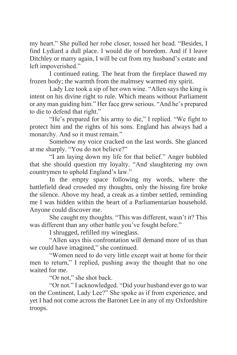my heart." She pulled her robe closer, tossed her head. "Besides, I find Lydiard a dull place. I would die of boredom. And if I leave Ditchley or marry again, I will be cut from my husband's estate and left impoverished."

I continued eating. The heat from the fireplace thawed my frozen body; the warmth from the malmsey warmed my spirit.

Lady Lee took a sip of her own wine. "Allen says the king is intent on his divine right to rule. Which means without Parliament or any man guiding him." Her face grew serious. "And he's prepared to die to defend that right."

"He's prepared for his army to die," I replied. "We fight to protect him and the rights of his sons. England has always had a monarchy. And so it must remain."

Somehow my voice cracked on the last words. She glanced at me sharply. "You do not believe?"

"I am laying down my life for that belief." Anger bubbled that she should question my loyalty. "And slaughtering my own countrymen to uphold England's law."

In the empty space following my words, where the battlefield dead crowded my thoughts, only the hissing fire broke the silence. Above my head, a creak as a timber settled, reminding me I was hidden within the heart of a Parliamentarian household. Anyone could discover me.

She caught my thoughts. "This was different, wasn't it? This was different than any other battle you've fought before."

I shrugged, refilled my wineglass.

"Allen says this confrontation will demand more of us than we could have imagined," she continued.

"Women need to do very little except wait at home for their men to return," I replied, pushing away the thought that no one waited for me.

"Or not," she shot back.

"Or not." I acknowledged. "Did your husband ever go to war on the Continent, Lady Lee?" She spoke as if from experience, and yet I had not come across the Baronet Lee in any of my Oxfordshire troops.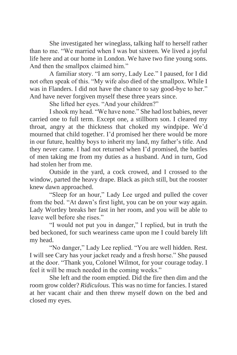She investigated her wineglass, talking half to herself rather than to me. "We married when I was but sixteen. We lived a joyful life here and at our home in London. We have two fine young sons. And then the smallpox claimed him."

A familiar story. "I am sorry, Lady Lee." I paused, for I did not often speak of this. "My wife also died of the smallpox. While I was in Flanders. I did not have the chance to say good-bye to her." And have never forgiven myself these three years since.

She lifted her eyes. "And your children?"

I shook my head. "We have none." She had lost babies, never carried one to full term. Except one, a stillborn son. I cleared my throat, angry at the thickness that choked my windpipe. We'd mourned that child together. I'd promised her there would be more in our future, healthy boys to inherit my land, my father's title. And they never came. I had not returned when I'd promised, the battles of men taking me from my duties as a husband. And in turn, God had stolen her from me.

Outside in the yard, a cock crowed, and I crossed to the window, parted the heavy drape. Black as pitch still, but the rooster knew dawn approached.

"Sleep for an hour," Lady Lee urged and pulled the cover from the bed. "At dawn's first light, you can be on your way again. Lady Wortley breaks her fast in her room, and you will be able to leave well before she rises."

"I would not put you in danger," I replied, but in truth the bed beckoned, for such weariness came upon me I could barely lift my head.

"No danger," Lady Lee replied. "You are well hidden. Rest. I will see Cary has your jacket ready and a fresh horse." She paused at the door. "Thank you, Colonel Wilmot, for your courage today. I feel it will be much needed in the coming weeks."

She left and the room emptied. Did the fire then dim and the room grow colder? *Ridiculous.* This was no time for fancies. I stared at her vacant chair and then threw myself down on the bed and closed my eyes.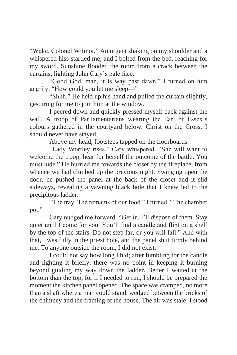"Wake, Colonel Wilmot." An urgent shaking on my shoulder and a whispered hiss startled me, and I bolted from the bed, reaching for my sword. Sunshine flooded the room from a crack between the curtains, lighting John Cary's pale face.

"Good God, man, it is way past dawn," I turned on him angrily. "How could you let me sleep—"

"Shhh." He held up his hand and pulled the curtain slightly, gesturing for me to join him at the window.

I peered down and quickly pressed myself back against the wall. A troop of Parliamentarians wearing the Earl of Essex's colours gathered in the courtyard below. Christ on the Cross, I should never have stayed.

Above my head, footsteps tapped on the floorboards.

"Lady Wortley rises," Cary whispered. "She will want to welcome the troop, hear for herself the outcome of the battle. You must hide." He hurried me towards the closet by the fireplace, from whence we had climbed up the previous night. Swinging open the door, he pushed the panel at the back of the closet and it slid sideways, revealing a yawning black hole that I knew led to the precipitous ladder.

"The tray. The remains of our food." I turned. "The chamber pot."

Cary nudged me forward. "Get in. I'll dispose of them. Stay quiet until I come for you. You'll find a candle and flint on a shelf by the top of the stairs. Do not step far, or you will fall." And with that, I was fully in the priest hole, and the panel shut firmly behind me. To anyone outside the room, I did not exist.

I could not say how long I hid; after fumbling for the candle and lighting it briefly, there was no point in keeping it burning beyond guiding my way down the ladder. Better I waited at the bottom than the top, for if I needed to run, I should be prepared the moment the kitchen panel opened. The space was cramped, no more than a shaft where a man could stand, wedged between the bricks of the chimney and the framing of the house. The air was stale; I stood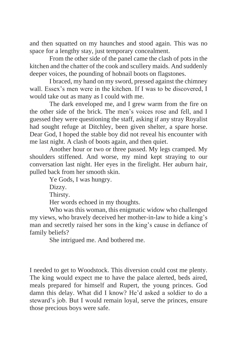and then squatted on my haunches and stood again. This was no space for a lengthy stay, just temporary concealment.

From the other side of the panel came the clash of pots in the kitchen and the chatter of the cook and scullery maids. And suddenly deeper voices, the pounding of hobnail boots on flagstones.

I braced, my hand on my sword, pressed against the chimney wall. Essex's men were in the kitchen. If I was to be discovered, I would take out as many as I could with me.

The dark enveloped me, and I grew warm from the fire on the other side of the brick. The men's voices rose and fell, and I guessed they were questioning the staff, asking if any stray Royalist had sought refuge at Ditchley, been given shelter, a spare horse. Dear God, I hoped the stable boy did not reveal his encounter with me last night. A clash of boots again, and then quiet.

Another hour or two or three passed. My legs cramped. My shoulders stiffened. And worse, my mind kept straying to our conversation last night. Her eyes in the firelight. Her auburn hair, pulled back from her smooth skin.

Ye Gods, I was hungry.

Dizzy.

Thirsty.

Her words echoed in my thoughts.

Who was this woman, this enigmatic widow who challenged my views, who bravely deceived her mother-in-law to hide a king's man and secretly raised her sons in the king's cause in defiance of family beliefs?

She intrigued me. And bothered me.

I needed to get to Woodstock. This diversion could cost me plenty. The king would expect me to have the palace alerted, beds aired, meals prepared for himself and Rupert, the young princes. God damn this delay. What did I know? He'd asked a soldier to do a steward's job. But I would remain loyal, serve the princes, ensure those precious boys were safe.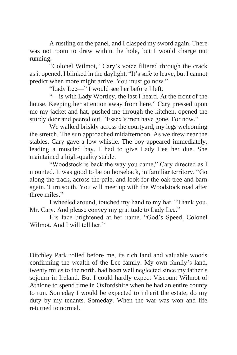A rustling on the panel, and I clasped my sword again. There was not room to draw within the hole, but I would charge out running.

"Colonel Wilmot," Cary's voice filtered through the crack as it opened. I blinked in the daylight. "It's safe to leave, but I cannot predict when more might arrive. You must go now."

"Lady Lee—" I would see her before I left.

"—is with Lady Wortley, the last I heard. At the front of the house. Keeping her attention away from here." Cary pressed upon me my jacket and hat, pushed me through the kitchen, opened the sturdy door and peered out. "Essex's men have gone. For now."

We walked briskly across the courtyard, my legs welcoming the stretch. The sun approached midafternoon. As we drew near the stables, Cary gave a low whistle. The boy appeared immediately, leading a muscled bay. I had to give Lady Lee her due. She maintained a high-quality stable.

"Woodstock is back the way you came," Cary directed as I mounted. It was good to be on horseback, in familiar territory. "Go along the track, across the pale, and look for the oak tree and barn again. Turn south. You will meet up with the Woodstock road after three miles."

I wheeled around, touched my hand to my hat. "Thank you, Mr. Cary. And please convey my gratitude to Lady Lee."

His face brightened at her name. "God's Speed, Colonel Wilmot. And I will tell her."

Ditchley Park rolled before me, its rich land and valuable woods confirming the wealth of the Lee family. My own family's land, twenty miles to the north, had been well neglected since my father's sojourn in Ireland. But I could hardly expect Viscount Wilmot of Athlone to spend time in Oxfordshire when he had an entire county to run. Someday I would be expected to inherit the estate, do my duty by my tenants. Someday. When the war was won and life returned to normal.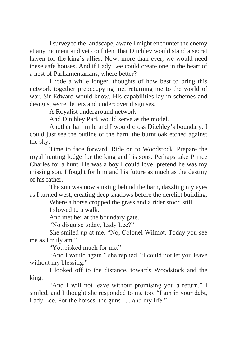I surveyed the landscape, aware I might encounter the enemy at any moment and yet confident that Ditchley would stand a secret haven for the king's allies. Now, more than ever, we would need these safe houses. And if Lady Lee could create one in the heart of a nest of Parliamentarians, where better?

I rode a while longer, thoughts of how best to bring this network together preoccupying me, returning me to the world of war. Sir Edward would know. His capabilities lay in schemes and designs, secret letters and undercover disguises.

A Royalist underground network.

And Ditchley Park would serve as the model.

Another half mile and I would cross Ditchley's boundary. I could just see the outline of the barn, the burnt oak etched against the sky.

Time to face forward. Ride on to Woodstock. Prepare the royal hunting lodge for the king and his sons. Perhaps take Prince Charles for a hunt. He was a boy I could love, pretend he was my missing son. I fought for him and his future as much as the destiny of his father.

The sun was now sinking behind the barn, dazzling my eyes as I turned west, creating deep shadows before the derelict building.

Where a horse cropped the grass and a rider stood still.

I slowed to a walk.

And met her at the boundary gate.

"No disguise today, Lady Lee?"

She smiled up at me. "No, Colonel Wilmot. Today you see me as I truly am."

"You risked much for me."

"And I would again," she replied. "I could not let you leave without my blessing."

I looked off to the distance, towards Woodstock and the king.

"And I will not leave without promising you a return." I smiled, and I thought she responded to me too. "I am in your debt, Lady Lee. For the horses, the guns . . . and my life."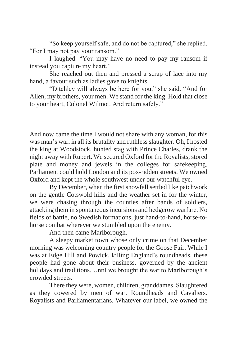"So keep yourself safe, and do not be captured," she replied. "For I may not pay your ransom."

I laughed. "You may have no need to pay my ransom if instead you capture my heart."

She reached out then and pressed a scrap of lace into my hand, a favour such as ladies gave to knights.

"Ditchley will always be here for you," she said. "And for Allen, my brothers, your men. We stand for the king. Hold that close to your heart, Colonel Wilmot. And return safely."

And now came the time I would not share with any woman, for this was man's war, in all its brutality and ruthless slaughter. Oh, I hosted the king at Woodstock, hunted stag with Prince Charles, drank the night away with Rupert. We secured Oxford for the Royalists, stored plate and money and jewels in the colleges for safekeeping. Parliament could hold London and its pox-ridden streets. We owned Oxford and kept the whole southwest under our watchful eye.

By December, when the first snowfall settled like patchwork on the gentle Cotswold hills and the weather set in for the winter, we were chasing through the counties after bands of soldiers, attacking them in spontaneous incursions and hedgerow warfare. No fields of battle, no Swedish formations, just hand-to-hand, horse-tohorse combat wherever we stumbled upon the enemy.

And then came Marlborough.

A sleepy market town whose only crime on that December morning was welcoming country people for the Goose Fair. While I was at Edge Hill and Powick, killing England's roundheads, these people had gone about their business, governed by the ancient holidays and traditions. Until we brought the war to Marlborough's crowded streets.

There they were, women, children, granddames. Slaughtered as they cowered by men of war. Roundheads and Cavaliers. Royalists and Parliamentarians. Whatever our label, we owned the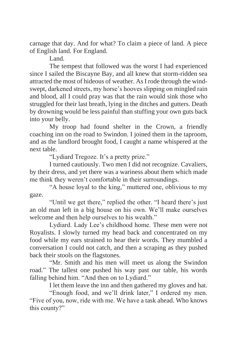carnage that day. And for what? To claim a piece of land. A piece of English land. For England.

Land.

The tempest that followed was the worst I had experienced since I sailed the Biscayne Bay, and all knew that storm-ridden sea attracted the most of hideous of weather. As I rode through the windswept, darkened streets, my horse's hooves slipping on mingled rain and blood, all I could pray was that the rain would sink those who struggled for their last breath, lying in the ditches and gutters. Death by drowning would be less painful than stuffing your own guts back into your belly.

My troop had found shelter in the Crown, a friendly coaching inn on the road to Swindon. I joined them in the taproom, and as the landlord brought food, I caught a name whispered at the next table.

"Lydiard Tregoze. It's a pretty prize."

I turned cautiously. Two men I did not recognize. Cavaliers, by their dress, and yet there was a wariness about them which made me think they weren't comfortable in their surroundings.

"A house loyal to the king," muttered one, oblivious to my gaze.

"Until we get there," replied the other. "I heard there's just an old man left in a big house on his own. We'll make ourselves welcome and then help ourselves to his wealth."

Lydiard. Lady Lee's childhood home. These men were not Royalists. I slowly turned my head back and concentrated on my food while my ears strained to hear their words. They mumbled a conversation I could not catch, and then a scraping as they pushed back their stools on the flagstones.

"Mr. Smith and his men will meet us along the Swindon road." The tallest one pushed his way past our table, his words falling behind him. "And then on to Lydiard."

I let them leave the inn and then gathered my gloves and hat.

"Enough food, and we'll drink later," I ordered my men. "Five of you, now, ride with me. We have a task ahead. Who knows this county?"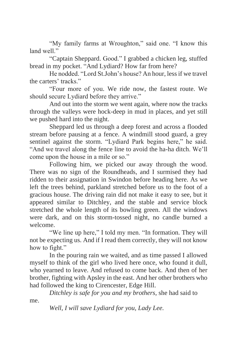"My family farms at Wroughton," said one. "I know this land well."

"Captain Sheppard. Good." I grabbed a chicken leg, stuffed bread in my pocket. "And Lydiard? How far from here?

He nodded. "Lord St.John's house? An hour, less if we travel the carters' tracks."

"Four more of you. We ride now, the fastest route. We should secure Lydiard before they arrive."

And out into the storm we went again, where now the tracks through the valleys were hock-deep in mud in places, and yet still we pushed hard into the night.

Sheppard led us through a deep forest and across a flooded stream before pausing at a fence. A windmill stood guard, a grey sentinel against the storm. "Lydiard Park begins here," he said. "And we travel along the fence line to avoid the ha-ha ditch. We'll come upon the house in a mile or so."

Following him, we picked our away through the wood. There was no sign of the Roundheads, and I surmised they had ridden to their assignation in Swindon before heading here. As we left the trees behind, parkland stretched before us to the foot of a gracious house. The driving rain did not make it easy to see, but it appeared similar to Ditchley, and the stable and service block stretched the whole length of its bowling green. All the windows were dark, and on this storm-tossed night, no candle burned a welcome.

"We line up here," I told my men. "In formation. They will not be expecting us. And if I read them correctly, they will not know how to fight."

In the pouring rain we waited, and as time passed I allowed myself to think of the girl who lived here once, who found it dull, who yearned to leave. And refused to come back. And then of her brother, fighting with Apsley in the east. And her other brothers who had followed the king to Cirencester, Edge Hill.

*Ditchley is safe for you and my brothers,* she had said to

me.

*Well, I will save Lydiard for you, Lady Lee.*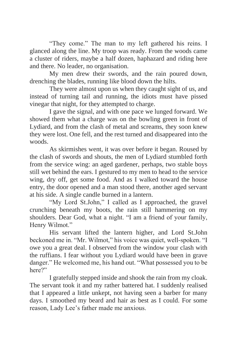"They come." The man to my left gathered his reins. I glanced along the line. My troop was ready. From the woods came a cluster of riders, maybe a half dozen, haphazard and riding here and there. No leader, no organisation.

My men drew their swords, and the rain poured down, drenching the blades, running like blood down the hilts.

They were almost upon us when they caught sight of us, and instead of turning tail and running, the idiots must have pissed vinegar that night, for they attempted to charge.

I gave the signal, and with one pace we lunged forward. We showed them what a charge was on the bowling green in front of Lydiard, and from the clash of metal and screams, they soon knew they were lost. One fell, and the rest turned and disappeared into the woods.

As skirmishes went, it was over before it began. Roused by the clash of swords and shouts, the men of Lydiard stumbled forth from the service wing: an aged gardener, perhaps, two stable boys still wet behind the ears. I gestured to my men to head to the service wing, dry off, get some food. And as I walked toward the house entry, the door opened and a man stood there, another aged servant at his side. A single candle burned in a lantern.

"My Lord St.John," I called as I approached, the gravel crunching beneath my boots, the rain still hammering on my shoulders. Dear God, what a night. "I am a friend of your family, Henry Wilmot."

His servant lifted the lantern higher, and Lord St.John beckoned me in. "Mr. Wilmot," his voice was quiet, well-spoken. "I owe you a great deal. I observed from the window your clash with the ruffians. I fear without you Lydiard would have been in grave danger." He welcomed me, his hand out. "What possessed you to be here?"

I gratefully stepped inside and shook the rain from my cloak. The servant took it and my rather battered hat. I suddenly realised that I appeared a little unkept, not having seen a barber for many days. I smoothed my beard and hair as best as I could. For some reason, Lady Lee's father made me anxious.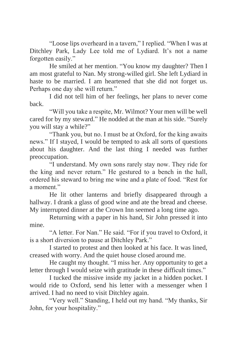"Loose lips overheard in a tavern," I replied. "When I was at Ditchley Park, Lady Lee told me of Lydiard. It's not a name forgotten easily."

He smiled at her mention. "You know my daughter? Then I am most grateful to Nan. My strong-willed girl. She left Lydiard in haste to be married. I am heartened that she did not forget us. Perhaps one day she will return."

I did not tell him of her feelings, her plans to never come back.

"Will you take a respite, Mr. Wilmot? Your men will be well cared for by my steward." He nodded at the man at his side. "Surely you will stay a while?"

"Thank you, but no. I must be at Oxford, for the king awaits news." If I stayed, I would be tempted to ask all sorts of questions about his daughter. And the last thing I needed was further preoccupation.

"I understand. My own sons rarely stay now. They ride for the king and never return." He gestured to a bench in the hall, ordered his steward to bring me wine and a plate of food. "Rest for a moment."

He lit other lanterns and briefly disappeared through a hallway. I drank a glass of good wine and ate the bread and cheese. My interrupted dinner at the Crown Inn seemed a long time ago.

Returning with a paper in his hand, Sir John pressed it into mine.

"A letter. For Nan." He said. "For if you travel to Oxford, it is a short diversion to pause at Ditchley Park."

I started to protest and then looked at his face. It was lined, creased with worry. And the quiet house closed around me.

He caught my thought. "I miss her. Any opportunity to get a letter through I would seize with gratitude in these difficult times."

I tucked the missive inside my jacket in a hidden pocket. I would ride to Oxford, send his letter with a messenger when I arrived. I had no need to visit Ditchley again.

"Very well." Standing, I held out my hand. "My thanks, Sir John, for your hospitality."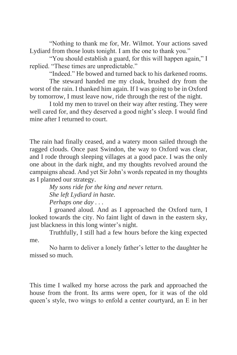"Nothing to thank me for, Mr. Wilmot. Your actions saved Lydiard from those louts tonight. I am the one to thank you."

"You should establish a guard, for this will happen again," I replied. "These times are unpredictable."

"Indeed." He bowed and turned back to his darkened rooms.

The steward handed me my cloak, brushed dry from the worst of the rain. I thanked him again. If I was going to be in Oxford by tomorrow, I must leave now, ride through the rest of the night.

I told my men to travel on their way after resting. They were well cared for, and they deserved a good night's sleep. I would find mine after I returned to court.

The rain had finally ceased, and a watery moon sailed through the ragged clouds. Once past Swindon, the way to Oxford was clear, and I rode through sleeping villages at a good pace. I was the only one about in the dark night, and my thoughts revolved around the campaigns ahead. And yet Sir John's words repeated in my thoughts as I planned our strategy.

*My sons ride for the king and never return. She left Lydiard in haste. Perhaps one day . . .*

I groaned aloud. And as I approached the Oxford turn, I looked towards the city. No faint light of dawn in the eastern sky, just blackness in this long winter's night.

Truthfully, I still had a few hours before the king expected me.

No harm to deliver a lonely father's letter to the daughter he missed so much.

This time I walked my horse across the park and approached the house from the front. Its arms were open, for it was of the old queen's style, two wings to enfold a center courtyard, an E in her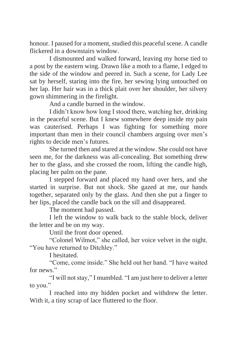honour. I paused for a moment, studied this peaceful scene. A candle flickered in a downstairs window.

I dismounted and walked forward, leaving my horse tied to a post by the eastern wing. Drawn like a moth to a flame, I edged to the side of the window and peered in. Such a scene, for Lady Lee sat by herself, staring into the fire, her sewing lying untouched on her lap. Her hair was in a thick plait over her shoulder, her silvery gown shimmering in the firelight.

And a candle burned in the window.

I didn't know how long I stood there, watching her, drinking in the peaceful scene. But I knew somewhere deep inside my pain was cauterised. Perhaps I was fighting for something more important than men in their council chambers arguing over men's rights to decide men's futures.

She turned then and stared at the window. She could not have seen me, for the darkness was all-concealing. But something drew her to the glass, and she crossed the room, lifting the candle high, placing her palm on the pane.

I stepped forward and placed my hand over hers, and she started in surprise. But not shock. She gazed at me, our hands together, separated only by the glass. And then she put a finger to her lips, placed the candle back on the sill and disappeared.

The moment had passed.

I left the window to walk back to the stable block, deliver the letter and be on my way.

Until the front door opened.

"Colonel Wilmot," she called, her voice velvet in the night. "You have returned to Ditchley."

I hesitated.

"Come, come inside." She held out her hand. "I have waited for news."

"I will not stay," I mumbled. "I am just here to deliver a letter to you."

I reached into my hidden pocket and withdrew the letter. With it, a tiny scrap of lace fluttered to the floor.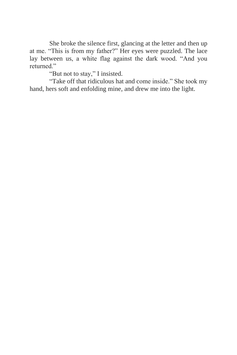She broke the silence first, glancing at the letter and then up at me. "This is from my father?" Her eyes were puzzled. The lace lay between us, a white flag against the dark wood. "And you returned."

"But not to stay," I insisted.

"Take off that ridiculous hat and come inside." She took my hand, hers soft and enfolding mine, and drew me into the light.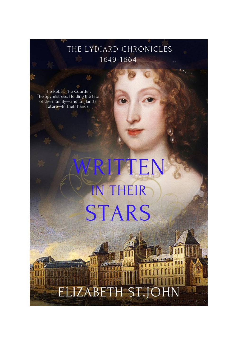#### THE LYDIARD CHRONICLES 1649-1664

The Rebel. The Courtier.<br>The Spymistress. Holding the fate of their family-and England's future-in their hands.

# TTEN IN THEIR **STARS**

ELIZABETH ST.JO

N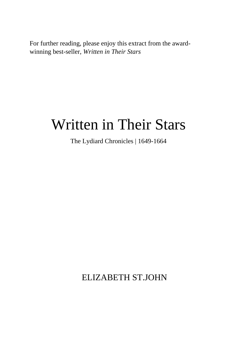For further reading, please enjoy this extract from the awardwinning best-seller, *Written in Their Stars*

## Written in Their Stars

The Lydiard Chronicles | 1649-1664

ELIZABETH ST.JOHN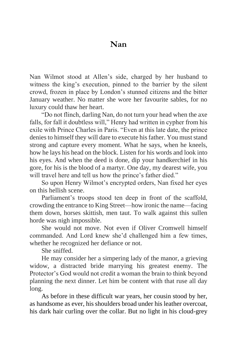#### **Nan**

Nan Wilmot stood at Allen's side, charged by her husband to witness the king's execution, pinned to the barrier by the silent crowd, frozen in place by London's stunned citizens and the bitter January weather. No matter she wore her favourite sables, for no luxury could thaw her heart.

"Do not flinch, darling Nan, do not turn your head when the axe falls, for fall it doubtless will," Henry had written in cypher from his exile with Prince Charles in Paris. "Even at this late date, the prince denies to himself they will dare to execute his father. You must stand strong and capture every moment. What he says, when he kneels, how he lays his head on the block. Listen for his words and look into his eyes. And when the deed is done, dip your handkerchief in his gore, for his is the blood of a martyr. One day, my dearest wife, you will travel here and tell us how the prince's father died."

So upon Henry Wilmot's encrypted orders, Nan fixed her eyes on this hellish scene.

Parliament's troops stood ten deep in front of the scaffold, crowding the entrance to King Street—how ironic the name—facing them down, horses skittish, men taut. To walk against this sullen horde was nigh impossible.

She would not move. Not even if Oliver Cromwell himself commanded. And Lord knew she'd challenged him a few times, whether he recognized her defiance or not.

She sniffed.

He may consider her a simpering lady of the manor, a grieving widow, a distracted bride marrying his greatest enemy. The Protector's God would not credit a woman the brain to think beyond planning the next dinner. Let him be content with that ruse all day long.

As before in these difficult war years, her cousin stood by her, as handsome as ever, his shoulders broad under his leather overcoat, his dark hair curling over the collar. But no light in his cloud-grey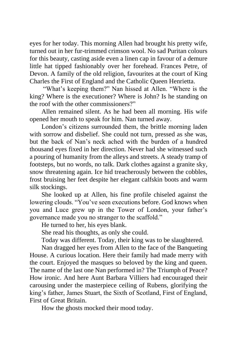eyes for her today. This morning Allen had brought his pretty wife, turned out in her fur-trimmed crimson wool. No sad Puritan colours for this beauty, casting aside even a linen cap in favour of a demure little hat tipped fashionably over her forehead. Frances Petre, of Devon. A family of the old religion, favourites at the court of King Charles the First of England and the Catholic Queen Henrietta.

"What's keeping them?" Nan hissed at Allen. "Where is the king? Where is the executioner? Where is John? Is he standing on the roof with the other commissioners?"

Allen remained silent. As he had been all morning. His wife opened her mouth to speak for him. Nan turned away.

London's citizens surrounded them, the brittle morning laden with sorrow and disbelief. She could not turn, pressed as she was, but the back of Nan's neck ached with the burden of a hundred thousand eyes fixed in her direction. Never had she witnessed such a pouring of humanity from the alleys and streets. A steady tramp of footsteps, but no words, no talk. Dark clothes against a granite sky, snow threatening again. Ice hid treacherously between the cobbles, frost bruising her feet despite her elegant calfskin boots and warm silk stockings.

She looked up at Allen, his fine profile chiseled against the lowering clouds. "You've seen executions before. God knows when you and Luce grew up in the Tower of London, your father's governance made you no stranger to the scaffold."

He turned to her, his eyes blank.

She read his thoughts, as only she could.

Today was different. Today, their king was to be slaughtered.

Nan dragged her eyes from Allen to the face of the Banqueting House. A curious location. Here their family had made merry with the court. Enjoyed the masques so beloved by the king and queen. The name of the last one Nan performed in? The Triumph of Peace? How ironic. And here Aunt Barbara Villiers had encouraged their carousing under the masterpiece ceiling of Rubens, glorifying the king's father, James Stuart, the Sixth of Scotland, First of England, First of Great Britain.

How the ghosts mocked their mood today.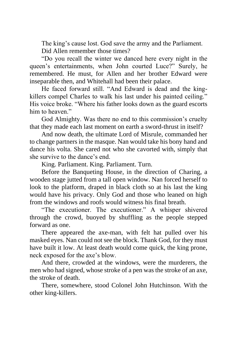The king's cause lost. God save the army and the Parliament. Did Allen remember those times?

"Do you recall the winter we danced here every night in the queen's entertainments, when John courted Luce?" Surely, he remembered. He must, for Allen and her brother Edward were inseparable then, and Whitehall had been their palace.

He faced forward still. "And Edward is dead and the kingkillers compel Charles to walk his last under his painted ceiling." His voice broke. "Where his father looks down as the guard escorts him to heaven."

God Almighty. Was there no end to this commission's cruelty that they made each last moment on earth a sword-thrust in itself?

And now death, the ultimate Lord of Misrule, commanded her to change partners in the masque. Nan would take his bony hand and dance his volta. She cared not who she cavorted with, simply that she survive to the dance's end.

King. Parliament. King. Parliament. Turn.

Before the Banqueting House, in the direction of Charing, a wooden stage jutted from a tall open window. Nan forced herself to look to the platform, draped in black cloth so at his last the king would have his privacy. Only God and those who leaned on high from the windows and roofs would witness his final breath.

"The executioner. The executioner." A whisper shivered through the crowd, buoyed by shuffling as the people stepped forward as one.

There appeared the axe-man, with felt hat pulled over his masked eyes. Nan could not see the block. Thank God, for they must have built it low. At least death would come quick, the king prone, neck exposed for the axe's blow.

And there, crowded at the windows, were the murderers, the men who had signed, whose stroke of a pen was the stroke of an axe, the stroke of death.

There, somewhere, stood Colonel John Hutchinson. With the other king-killers.